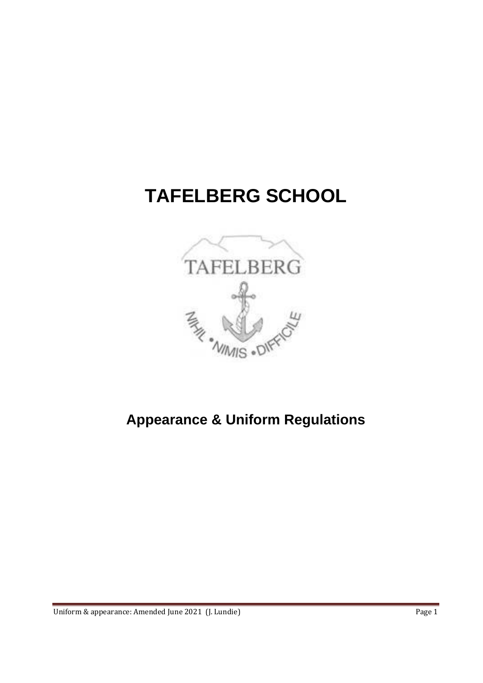# **TAFELBERG SCHOOL**



# **Appearance & Uniform Regulations**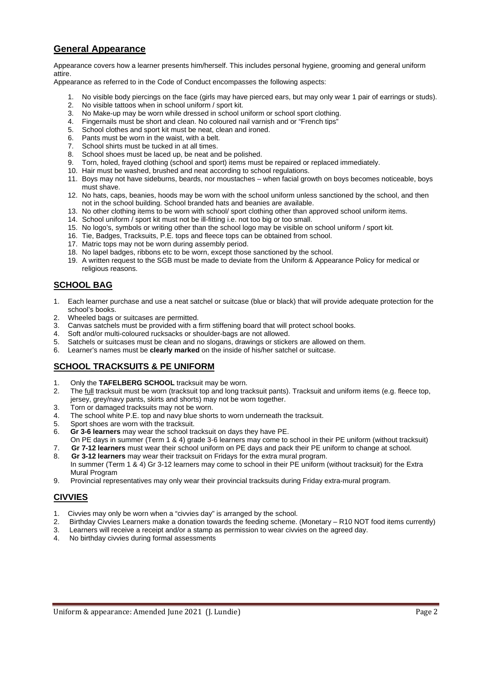# **General Appearance**

Appearance covers how a learner presents him/herself. This includes personal hygiene, grooming and general uniform attire.

Appearance as referred to in the Code of Conduct encompasses the following aspects:

- 1. No visible body piercings on the face (girls may have pierced ears, but may only wear 1 pair of earrings or studs).
- 2. No visible tattoos when in school uniform / sport kit.
- 3. No Make-up may be worn while dressed in school uniform or school sport clothing.
- 4. Fingernails must be short and clean. No coloured nail varnish and or "French tips"
- 5. School clothes and sport kit must be neat, clean and ironed.
- 6. Pants must be worn in the waist, with a belt.<br>7. School shirts must be tucked in at all times
- School shirts must be tucked in at all times.
- 8. School shoes must be laced up, be neat and be polished.
- 9. Torn, holed, frayed clothing (school and sport) items must be repaired or replaced immediately.
- 10. Hair must be washed, brushed and neat according to school regulations.
- 11. Boys may not have sideburns, beards, nor moustaches when facial growth on boys becomes noticeable, boys must shave.
- 12. No hats, caps, beanies, hoods may be worn with the school uniform unless sanctioned by the school, and then not in the school building. School branded hats and beanies are available.
- 13. No other clothing items to be worn with school/ sport clothing other than approved school uniform items.
- 14. School uniform / sport kit must not be ill-fitting i.e. not too big or too small.
- 15. No logo's, symbols or writing other than the school logo may be visible on school uniform / sport kit.
- 16. Tie, Badges, Tracksuits, P.E. tops and fleece tops can be obtained from school.
- 17. Matric tops may not be worn during assembly period.
- 18. No lapel badges, ribbons etc to be worn, except those sanctioned by the school.
- 19. A written request to the SGB must be made to deviate from the Uniform & Appearance Policy for medical or religious reasons.

# **SCHOOL BAG**

- 1. Each learner purchase and use a neat satchel or suitcase (blue or black) that will provide adequate protection for the school's books.
- 2. Wheeled bags or suitcases are permitted.
- 3. Canvas satchels must be provided with a firm stiffening board that will protect school books.
- 4. Soft and/or multi-coloured rucksacks or shoulder-bags are not allowed.
- 5. Satchels or suitcases must be clean and no slogans, drawings or stickers are allowed on them.
- 6. Learner's names must be **clearly marked** on the inside of his/her satchel or suitcase.

# **SCHOOL TRACKSUITS & PE UNIFORM**

- 1. Only the **TAFELBERG SCHOOL** tracksuit may be worn.
- 2. The full tracksuit must be worn (tracksuit top and long tracksuit pants). Tracksuit and uniform items (e.g. fleece top, jersey, grey/navy pants, skirts and shorts) may not be worn together.
- 3. Torn or damaged tracksuits may not be worn.
- 4. The school white P.E. top and navy blue shorts to worn underneath the tracksuit.
- 5. Sport shoes are worn with the tracksuit.
- 6. **Gr 3-6 learners** may wear the school tracksuit on days they have PE.
- On PE days in summer (Term 1 & 4) grade 3-6 learners may come to school in their PE uniform (without tracksuit)
- 7. **Gr 7-12 learners** must wear their school uniform on PE days and pack their PE uniform to change at school.
- 8. **Gr 3-12 learners** may wear their tracksuit on Fridays for the extra mural program. In summer (Term 1 & 4) Gr 3-12 learners may come to school in their PE uniform (without tracksuit) for the Extra Mural Program
- 9. Provincial representatives may only wear their provincial tracksuits during Friday extra-mural program.

# **CIVVIES**

- 1. Civvies may only be worn when a "civvies day" is arranged by the school.
- 2. Birthday Civvies Learners make a donation towards the feeding scheme. (Monetary R10 NOT food items currently)
- 3. Learners will receive a receipt and/or a stamp as permission to wear civvies on the agreed day.
- 4. No birthday civvies during formal assessments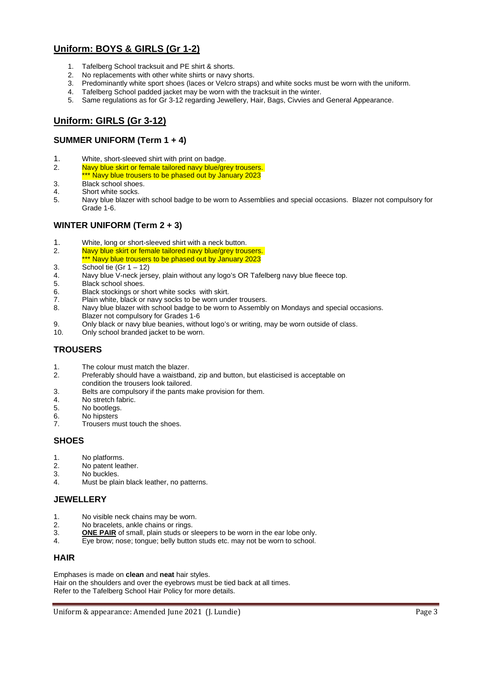# **Uniform: BOYS & GIRLS (Gr 1-2)**

- 1. Tafelberg School tracksuit and PE shirt & shorts.
- 2. No replacements with other white shirts or navy shorts.
- 3. Predominantly white sport shoes (laces or Velcro straps) and white socks must be worn with the uniform.
- 4. Tafelberg School padded jacket may be worn with the tracksuit in the winter.
- 5. Same regulations as for Gr 3-12 regarding Jewellery, Hair, Bags, Civvies and General Appearance.

# **Uniform: GIRLS (Gr 3-12)**

#### **SUMMER UNIFORM (Term 1 + 4)**

- 1. White, short-sleeved shirt with print on badge.<br>2. Navy blue skirt or famale tailored navy blue/gr
- Navy blue skirt or female tailored navy blue/grey trousers.
- \*\*\* Navy blue trousers to be phased out by January 2023
- 3. Black school shoes.
- 4. Short white socks.
- 5. Navy blue blazer with school badge to be worn to Assemblies and special occasions. Blazer not compulsory for Grade 1-6.

#### **WINTER UNIFORM (Term 2 + 3)**

- 1. White, long or short-sleeved shirt with a neck button.
- 2. Navy blue skirt or female tailored navy blue/grey trousers.
- \*\*\* Navy blue trousers to be phased out by January 2023
- 3. School tie  $(Gr 1 12)$
- 4. Navy blue V-neck jersey, plain without any logo's OR Tafelberg navy blue fleece top.<br>Rlack school shoes
- 5. Black school shoes.
- 6. Black stockings or short white socks with skirt.
- 7. Plain white, black or navy socks to be worn under trousers.
- 8. Navy blue blazer with school badge to be worn to Assembly on Mondays and special occasions.
- Blazer not compulsory for Grades 1-6<br>Only black or navy blue beanies, with Only black or navy blue beanies, without logo's or writing, may be worn outside of class.
- 10. Only school branded jacket to be worn.

# **TROUSERS**

- 1. The colour must match the blazer.
- 2. Preferably should have a waistband, zip and button, but elasticised is acceptable on condition the trousers look tailored.
- 3. Belts are compulsory if the pants make provision for them.<br> $\Delta$  No stretch fabric.
- No stretch fabric.
- 5. No bootlegs.
- 6. No hipsters<br>7. Trousers.mi
- 7. Trousers must touch the shoes.

#### **SHOES**

- 1. No platforms.
- 2. No patent leather.
- 3. No buckles.
- 4. Must be plain black leather, no patterns.

#### **JEWELLERY**

- 1. No visible neck chains may be worn.
- 2. No bracelets, ankle chains or rings.
- 3. **ONE PAIR** of small, plain studs or sleepers to be worn in the ear lobe only.
- 4. Eye brow; nose; tongue; belly button studs etc. may not be worn to school.

#### **HAIR**

Emphases is made on **clean** and **neat** hair styles. Hair on the shoulders and over the eyebrows must be tied back at all times. Refer to the Tafelberg School Hair Policy for more details.

#### Uniform & appearance: Amended June 2021 (J. Lundie) **Page 3** Page 3